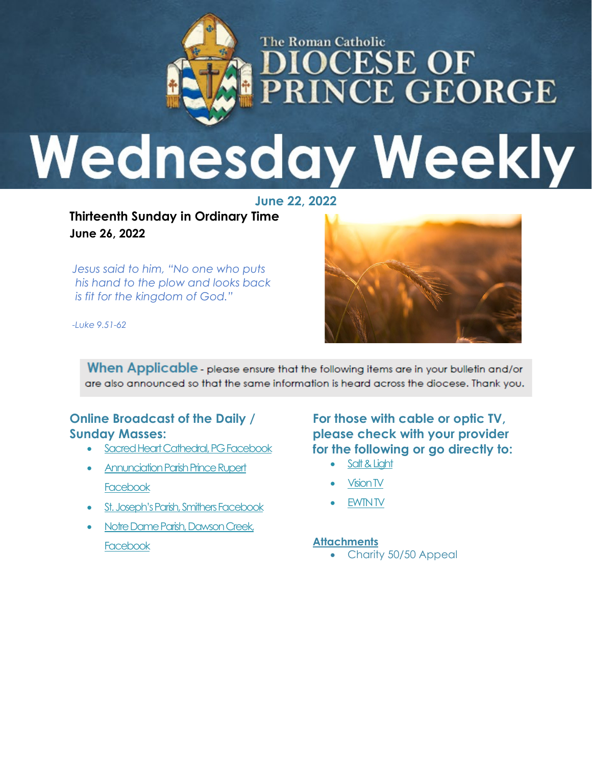

# **Wednesday Weekly**

**June 22, 2022**

**Thirteenth Sunday in Ordinary Time June 26, 2022** 

*Jesus said to him, "No one who puts his hand to the plow and looks back is fit for the kingdom of God."*



*-Luke 9.51-62*

When Applicable - please ensure that the following items are in your bulletin and/or are also announced so that the same information is heard across the diocese. Thank you.

#### **Online Broadcast of the Daily / Sunday Masses:**

- [Sacred Heart Cathedral, PG Facebook](https://www.facebook.com/cathedraldpg/?__tn__=kC-R&eid=ARBxzqseS2j6IlMOBHBQOUYig0uRHQ6u4rFdszWCtWHLGgcEkzIiPhHLfwS-8yljBgxzuF5LvUCLaIh6&hc_ref=ARSCTlP0olakAsgI6CYt2S2duGiVxNrPAzLDUhTkFa9vnYojj7e2NsDhcNo-JEo3iss&fref=nf&__xts__%5b0%5d=68.ARCNixPU_easSZXAOCIZW1e6zA3H0S2pqpRy6xkQa1NtJ1ZWqddwEmxZ3mC-Lx5puZkf3urigWMSaZ8FtcRsvAgTNOm8PNNHALmAvxE6gtLBr3TylnIpjKWfjWN3WxzS2kMx2JpRX3Xf9iAecpKSU2QbA6bVkgxi7VkWqY7hbCXbEKn9vx5-QUJNDJX_IDjUhC9RDVBbgQ10PN-qQ0tj_fX57s8SD4Nvsyhw11r8b3ZeG5zoZ-jONs_6GgqQWkM0gamzvhU3HZnmOT9kNoEaLoZcZ8dkyIiwMfRbe_rR7-bawYIZ4KD07Ji85Xd3XBbWEu_LcQiUKPI5WSwN05CXXghEG1-s5GH3oUK5TQ)
- Annunciation Parish Prince Rupert **[Facebook](https://www.facebook.com/stjisephpr/)**
- [St. Joseph's Parish, Smithers Facebook](https://www.facebook.com/St-Joseph-Catholic-Church-Smithers-101406618235710/live_videos/?ref=page_internal)
- Notre Dame Parish, Dawson Creek, **[Facebook](https://m.facebook.com/profile.php?id=562817160420202)**

**For those with cable or optic TV, please check with your provider for the following or go directly to:**

- [Salt & Light](https://saltandlighttv.org/schedule/)
- **[Vision TV](https://www.visiontv.ca/shows/daily-mass/)**
- [EWTN TV](https://www.ewtn.com/tv)

#### **Attachments**

• Charity 50/50 Appeal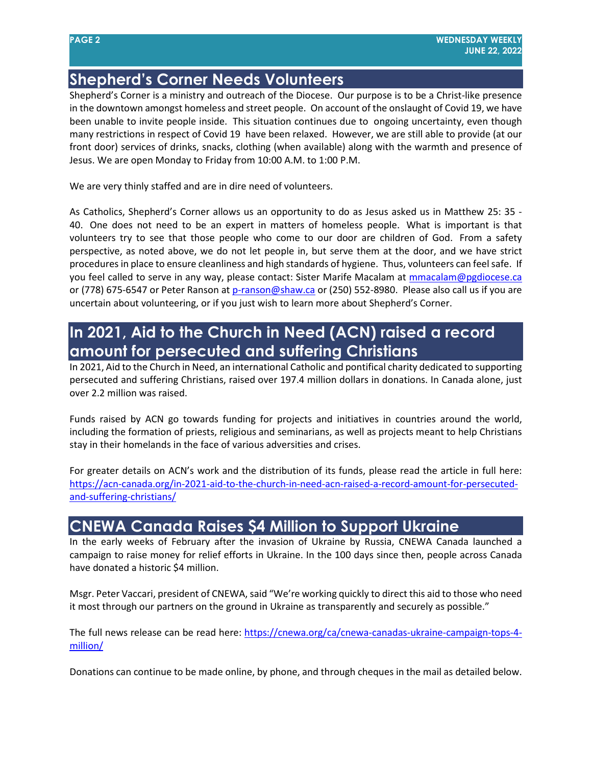# **Shepherd's Corner Needs Volunteers**

Shepherd's Corner is a ministry and outreach of the Diocese. Our purpose is to be a Christ-like presence in the downtown amongst homeless and street people. On account of the onslaught of Covid 19, we have been unable to invite people inside. This situation continues due to ongoing uncertainty, even though many restrictions in respect of Covid 19 have been relaxed. However, we are still able to provide (at our front door) services of drinks, snacks, clothing (when available) along with the warmth and presence of Jesus. We are open Monday to Friday from 10:00 A.M. to 1:00 P.M.

We are very thinly staffed and are in dire need of volunteers.

As Catholics, Shepherd's Corner allows us an opportunity to do as Jesus asked us in Matthew 25: 35 - 40. One does not need to be an expert in matters of homeless people. What is important is that volunteers try to see that those people who come to our door are children of God. From a safety perspective, as noted above, we do not let people in, but serve them at the door, and we have strict procedures in place to ensure cleanliness and high standards of hygiene. Thus, volunteers can feel safe. If you feel called to serve in any way, please contact: Sister Marife Macalam at [mmacalam@pgdiocese.ca](mailto:mmacalam@pgdiocese.ca) or (778) 675-6547 or Peter Ranson at [p-ranson@shaw.ca](mailto:p-ranson@shaw.ca) or (250) 552-8980. Please also call us if you are uncertain about volunteering, or if you just wish to learn more about Shepherd's Corner.

## **In 2021, Aid to the Church in Need (ACN) raised a record amount for persecuted and suffering Christians**

In 2021, Aid to the Church in Need, an international Catholic and pontifical charity dedicated to supporting persecuted and suffering Christians, raised over 197.4 million dollars in donations. In Canada alone, just over 2.2 million was raised.

Funds raised by ACN go towards funding for projects and initiatives in countries around the world, including the formation of priests, religious and seminarians, as well as projects meant to help Christians stay in their homelands in the face of various adversities and crises.

For greater details on ACN's work and the distribution of its funds, please read the article in full here: [https://acn-canada.org/in-2021-aid-to-the-church-in-need-acn-raised-a-record-amount-for-persecuted](https://acn-canada.org/in-2021-aid-to-the-church-in-need-acn-raised-a-record-amount-for-persecuted-and-suffering-christians/)[and-suffering-christians/](https://acn-canada.org/in-2021-aid-to-the-church-in-need-acn-raised-a-record-amount-for-persecuted-and-suffering-christians/)

#### **CNEWA Canada Raises \$4 Million to Support Ukraine**

In the early weeks of February after the invasion of Ukraine by Russia, CNEWA Canada launched a campaign to raise money for relief efforts in Ukraine. In the 100 days since then, people across Canada have donated a historic \$4 million.

Msgr. Peter Vaccari, president of CNEWA, said "We're working quickly to direct this aid to those who need it most through our partners on the ground in Ukraine as transparently and securely as possible."

The full news release can be read here: [https://cnewa.org/ca/cnewa-canadas-ukraine-campaign-tops-4](https://cnewa.org/ca/cnewa-canadas-ukraine-campaign-tops-4-million/) [million/](https://cnewa.org/ca/cnewa-canadas-ukraine-campaign-tops-4-million/)

Donations can continue to be made online, by phone, and through cheques in the mail as detailed below.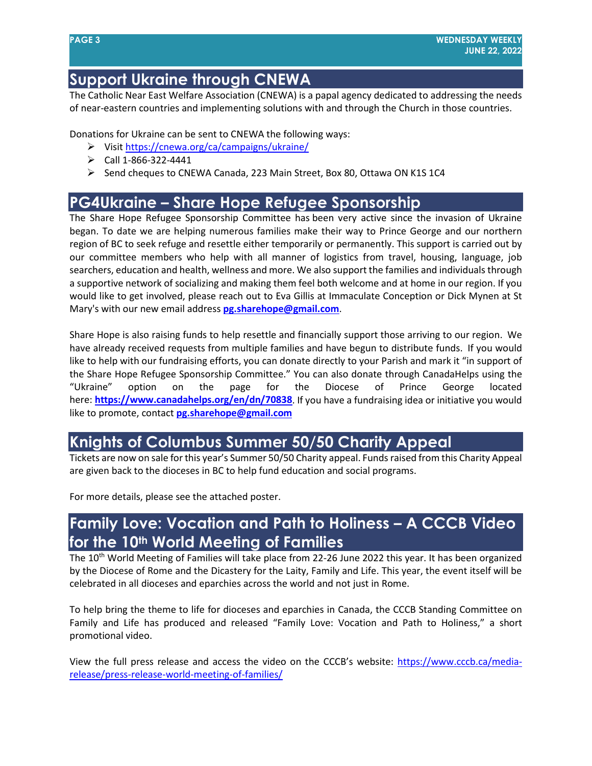### **Support Ukraine through CNEWA**

The Catholic Near East Welfare Association (CNEWA) is a papal agency dedicated to addressing the needs of near-eastern countries and implementing solutions with and through the Church in those countries.

Donations for Ukraine can be sent to CNEWA the following ways:

- Visit<https://cnewa.org/ca/campaigns/ukraine/>
- $\triangleright$  Call 1-866-322-4441
- $\triangleright$  Send cheques to CNEWA Canada, 223 Main Street, Box 80, Ottawa ON K1S 1C4

#### **PG4Ukraine – Share Hope Refugee Sponsorship**

The Share Hope Refugee Sponsorship Committee has been very active since the invasion of Ukraine began. To date we are helping numerous families make their way to Prince George and our northern region of BC to seek refuge and resettle either temporarily or permanently. This support is carried out by our committee members who help with all manner of logistics from travel, housing, language, job searchers, education and health, wellness and more. We also support the families and individuals through a supportive network of socializing and making them feel both welcome and at home in our region. If you would like to get involved, please reach out to Eva Gillis at Immaculate Conception or Dick Mynen at St Mary's with our new email address **[pg.sharehope@gmail.com](mailto:pg.sharehope@gmail.com)**.

Share Hope is also raising funds to help resettle and financially support those arriving to our region. We have already received requests from multiple families and have begun to distribute funds. If you would like to help with our fundraising efforts, you can donate directly to your Parish and mark it "in support of the Share Hope Refugee Sponsorship Committee." You can also donate through CanadaHelps using the "Ukraine" option on the page for the Diocese of Prince George located here: **<https://www.canadahelps.org/en/dn/70838>**. If you have a fundraising idea or initiative you would like to promote, contact **[pg.sharehope@gmail.com](mailto:pg.sharehope@gmail.com)**

## **Knights of Columbus Summer 50/50 Charity Appeal**

Tickets are now on sale for this year's Summer 50/50 Charity appeal. Funds raised from this Charity Appeal are given back to the dioceses in BC to help fund education and social programs.

For more details, please see the attached poster.

#### **Family Love: Vocation and Path to Holiness – A CCCB Video for the 10th World Meeting of Families**

The 10<sup>th</sup> World Meeting of Families will take place from 22-26 June 2022 this year. It has been organized by the Diocese of Rome and the Dicastery for the Laity, Family and Life. This year, the event itself will be celebrated in all dioceses and eparchies across the world and not just in Rome.

To help bring the theme to life for dioceses and eparchies in Canada, the CCCB Standing Committee on Family and Life has produced and released "Family Love: Vocation and Path to Holiness," a short promotional video.

View the full press release and access the video on the CCCB's website: [https://www.cccb.ca/media](https://www.cccb.ca/media-release/press-release-world-meeting-of-families/)[release/press-release-world-meeting-of-families/](https://www.cccb.ca/media-release/press-release-world-meeting-of-families/)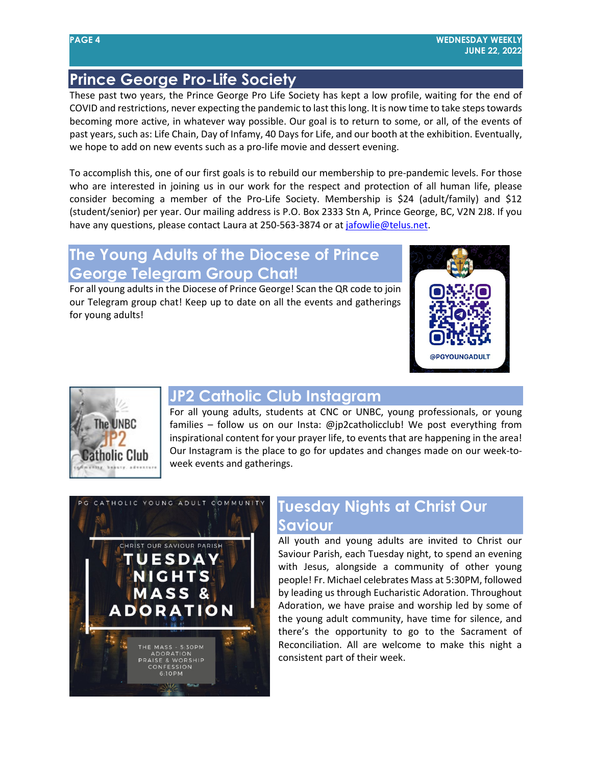## **Prince George Pro-Life Society**

These past two years, the Prince George Pro Life Society has kept a low profile, waiting for the end of COVID and restrictions, never expecting the pandemic to last this long. It is now time to take steps towards becoming more active, in whatever way possible. Our goal is to return to some, or all, of the events of past years, such as: Life Chain, Day of Infamy, 40 Days for Life, and our booth at the exhibition. Eventually, we hope to add on new events such as a pro-life movie and dessert evening.

To accomplish this, one of our first goals is to rebuild our membership to pre-pandemic levels. For those who are interested in joining us in our work for the respect and protection of all human life, please consider becoming a member of the Pro-Life Society. Membership is \$24 (adult/family) and \$12 (student/senior) per year. Our mailing address is P.O. Box 2333 Stn A, Prince George, BC, V2N 2J8. If you have any questions, please contact Laura at 250-563-3874 or a[t jafowlie@telus.net.](mailto:jafowlie@telus.net)

## **The Young Adults of the Diocese of Prince George Telegram Group Chat!**

For all young adults in the Diocese of Prince George! Scan the QR code to join our Telegram group chat! Keep up to date on all the events and gatherings for young adults!





#### **JP2 Catholic Club Instagram**

For all young adults, students at CNC or UNBC, young professionals, or young families – follow us on our Insta: @jp2catholicclub! We post everything from inspirational content for your prayer life, to events that are happening in the area! Our Instagram is the place to go for updates and changes made on our week-toweek events and gatherings.



# **Tuesday Nights at Christ Our Saviour**

All youth and young adults are invited to Christ our Saviour Parish, each Tuesday night, to spend an evening with Jesus, alongside a community of other young people! Fr. Michael celebrates Mass at 5:30PM, followed by leading us through Eucharistic Adoration. Throughout Adoration, we have praise and worship led by some of the young adult community, have time for silence, and there's the opportunity to go to the Sacrament of Reconciliation. All are welcome to make this night a consistent part of their week.